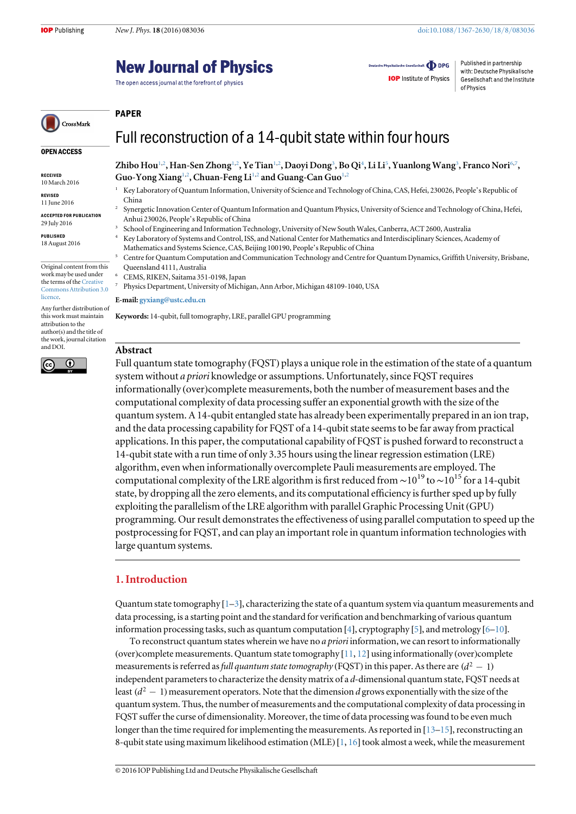# **New Journal of Physics**

The open access journal at the forefront of physics

Deutsche Physikalische Gesellschaft **ODPG** 

**IOP** Institute of Physics

Published in partnership with: Deutsche Physikalische Gesellschaft and the Institute of Physics

## PAPER

## Full reconstruction of a 14-qubit state within four hours

OPEN ACCESS

CrossMark

RECEIVED 10 March 2016

REVISED 11 June 2016

ACCEPTED FOR PUBLICATION 29 July 2016

PUBLISHED 18 August 2016

Original content from this work may be used under the terms of the [Creative](http://creativecommons.org/licenses/by/3.0) [Commons Attribution 3.0](http://creativecommons.org/licenses/by/3.0) [licence.](http://creativecommons.org/licenses/by/3.0)

Any further distribution of this work must maintain attribution to the author(s) and the title of the work, journal citation and DOI.



Zhibo Hou $^{1,2}$  $^{1,2}$  $^{1,2}$  $^{1,2}$ , Han-Sen Zhong $^{1,2}$ , Ye Tian $^{1,2}$ , Daoyi Dong $^3$  $^3$ , Bo Qi $^4$  $^4$ , Li Li $^5$  $^5$ , Yuanlong Wang $^3$ , Franco Nori $^{6,7}$  $^{6,7}$  $^{6,7}$  $^{6,7}$ , Guo-Yong Xiang<sup>[1](#page-0-0)[,2](#page-0-1)</sup>, Chuan-Feng Li<sup>1,2</sup> and Guang-Can Guo<sup>1,2</sup>

- <span id="page-0-0"></span><sup>1</sup> Key Laboratory of Quantum Information, University of Science and Technology of China, CAS, Hefei, 230026, People's Republic of China
- <span id="page-0-1"></span><sup>2</sup> Synergetic Innovation Center of Quantum Information and Quantum Physics, University of Science and Technology of China, Hefei, Anhui 230026, People's Republic of China
- <span id="page-0-2"></span><sup>3</sup> School of Engineering and Information Technology, University of New South Wales, Canberra, ACT 2600, Australia
- <span id="page-0-3"></span>Key Laboratory of Systems and Control, ISS, and National Center for Mathematics and Interdisciplinary Sciences, Academy of Mathematics and Systems Science, CAS, Beijing 100190, People's Republic of China
- <span id="page-0-4"></span><sup>5</sup> Centre for Quantum Computation and Communication Technology and Centre for Quantum Dynamics, Griffith University, Brisbane, Queensland 4111, Australia
- <span id="page-0-6"></span><span id="page-0-5"></span><sup>6</sup> CEMS, RIKEN, Saitama 351-0198, Japan
	- <sup>7</sup> Physics Department, University of Michigan, Ann Arbor, Michigan 48109-1040, USA

#### E-mail: [gyxiang@ustc.edu.cn](mailto:gyxiang@ustc.edu.cn)

Keywords: 14-qubit, full tomography, LRE, parallel GPU programming

#### Abstract

Full quantum state tomography (FQST) plays a unique role in the estimation of the state of a quantum system without a priori knowledge or assumptions. Unfortunately, since FQST requires informationally (over)complete measurements, both the number of measurement bases and the computational complexity of data processing suffer an exponential growth with the size of the quantum system. A 14-qubit entangled state has already been experimentally prepared in an ion trap, and the data processing capability for FQST of a 14-qubit state seems to be far away from practical applications. In this paper, the computational capability of FQST is pushed forward to reconstruct a 14-qubit state with a run time of only 3.35 hours using the linear regression estimation (LRE) algorithm, even when informationally overcomplete Pauli measurements are employed. The computational complexity of the LRE algorithm is first reduced from  $\sim$ 10<sup>19</sup> to  $\sim$ 10<sup>15</sup> for a 14-qubit state, by dropping all the zero elements, and its computational efficiency is further sped up by fully exploiting the parallelism of the LRE algorithm with parallel Graphic Processing Unit(GPU) programming. Our result demonstrates the effectiveness of using parallel computation to speed up the postprocessing for FQST, and can play an important role in quantum information technologies with large quantum systems.

## 1. Introduction

Quantum state tomography  $[1-3]$  $[1-3]$  $[1-3]$  $[1-3]$  $[1-3]$ , characterizing the state of a quantum system via quantum measurements and data processing, is a starting point and the standard for verification and benchmarking of various quantum information processing tasks, such as quantum computation [[4](#page-6-2)], cryptography [[5](#page-6-3)], and metrology  $[6-10]$  $[6-10]$  $[6-10]$  $[6-10]$  $[6-10]$ .

To reconstruct quantum states wherein we have no *a priori* information, we can resort to informationally (over)complete measurements. Quantum state tomography  $[11, 12]$  $[11, 12]$  $[11, 12]$  $[11, 12]$  $[11, 12]$  using informationally (over)complete measurements is referred as full quantum state tomography (FQST) in this paper. As there are  $(d^2 - 1)$ independent parameters to characterize the density matrix of a d-dimensional quantum state, FQST needs at least  $(d^2 - 1)$  measurement operators. Note that the dimension d grows exponentially with the size of the quantum system. Thus, the number of measurements and the computational complexity of data processing in FQST suffer the curse of dimensionality. Moreover, the time of data processing was found to be even much longer than the time required for implementing the measurements. As reported in  $[13-15]$  $[13-15]$  $[13-15]$  $[13-15]$  $[13-15]$ , reconstructing an 8-qubit state using maximum likelihood estimation (MLE)  $[1, 16]$  $[1, 16]$  $[1, 16]$  $[1, 16]$  $[1, 16]$  took almost a week, while the measurement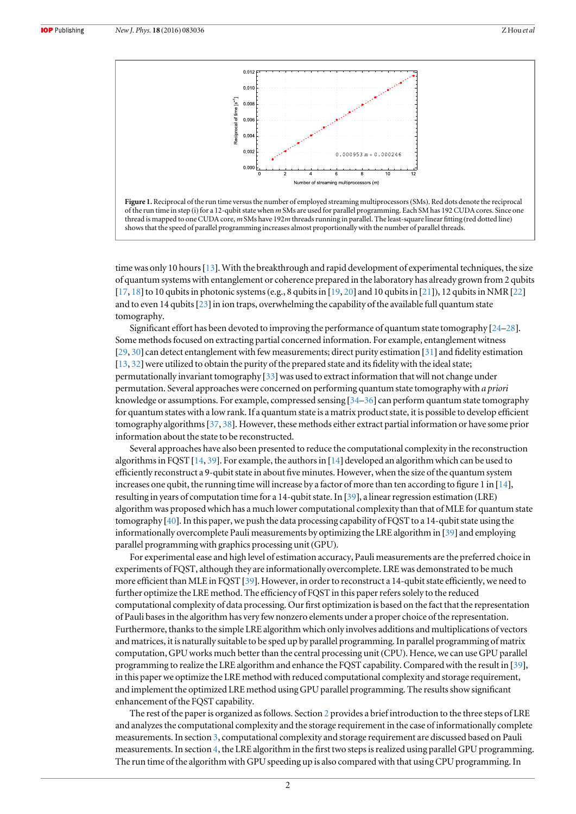<span id="page-1-0"></span>



time was only 10 hours [[13](#page-6-8)]. With the breakthrough and rapid development of experimental techniques, the size of quantum systems with entanglement or coherence prepared in the laboratory has already grown from 2 qubits  $[17, 18]$  $[17, 18]$  $[17, 18]$  $[17, 18]$  $[17, 18]$  to 10 qubits in photonic systems (e.g., 8 qubits in  $[19, 20]$  $[19, 20]$  $[19, 20]$  $[19, 20]$  $[19, 20]$  and 10 qubits in  $[21]$  $[21]$  $[21]$ ), 12 qubits in NMR  $[22]$  $[22]$  $[22]$ and to even 14 qubits  $[23]$  $[23]$  $[23]$  in ion traps, overwhelming the capability of the available full quantum state tomography.

Significant effort has been devoted to improving the performance of quantum state tomography [[24](#page-6-18)–[28](#page-6-19)]. Some methods focused on extracting partial concerned information. For example, entanglement witness [[29,](#page-6-20) [30](#page-6-21)] can detect entanglement with few measurements; direct purity estimation [[31](#page-6-22)] and fidelity estimation [[13,](#page-6-8) [32](#page-6-23)] were utilized to obtain the purity of the prepared state and its fidelity with the ideal state; permutationally invariant tomography  $[33]$  $[33]$  $[33]$  was used to extract information that will not change under permutation. Several approaches were concerned on performing quantum state tomography with a priori knowledge or assumptions. For example, compressed sensing [[34](#page-7-1)–[36](#page-7-2)] can perform quantum state tomography for quantum states with a low rank. If a quantum state is a matrix product state, it is possible to develop efficient tomography algorithms[[37](#page-7-3), [38](#page-7-4)]. However, these methods either extract partial information or have some prior information about the state to be reconstructed.

Several approaches have also been presented to reduce the computational complexity in the reconstruction algorithms in FQST [[14](#page-6-24), [39](#page-7-5)]. For example, the authors in [[14](#page-6-24)] developed an algorithm which can be used to efficiently reconstruct a 9-qubit state in about five minutes. However, when the size of the quantum system increases one qubit, the running time will increase by a factor of more than ten according to figure 1 in [[14](#page-6-24)], resulting in years of computation time for a 14-qubit state. In [[39](#page-7-5)], a linear regression estimation (LRE) algorithm was proposed which has a much lower computational complexity than that of MLE for quantum state tomography [[40](#page-7-6)]. In this paper, we push the data processing capability of FQST to a 14-qubit state using the informationally overcomplete Pauli measurements by optimizing the LRE algorithm in [[39](#page-7-5)] and employing parallel programming with graphics processing unit (GPU).

For experimental ease and high level of estimation accuracy, Pauli measurements are the preferred choice in experiments of FQST, although they are informationally overcomplete. LRE was demonstrated to be much more efficient than MLE in FQST [[39](#page-7-5)]. However, in order to reconstruct a 14-qubit state efficiently, we need to further optimize the LRE method. The efficiency of FQST in this paper refers solely to the reduced computational complexity of data processing. Our first optimization is based on the fact that the representation of Pauli bases in the algorithm has very few nonzero elements under a proper choice of the representation. Furthermore, thanks to the simple LRE algorithm which only involves additions and multiplications of vectors and matrices, it is naturally suitable to be sped up by parallel programming. In parallel programming of matrix computation, GPU works much better than the central processing unit (CPU). Hence, we can use GPU parallel programming to realize the LRE algorithm and enhance the FQST capability. Compared with the result in [[39](#page-7-5)], in this paper we optimize the LRE method with reduced computational complexity and storage requirement, and implement the optimized LRE method using GPU parallel programming. The results show significant enhancement of the FQST capability.

The rest of the paper is organized as follows. Section [2](#page-2-0) provides a brief introduction to the three steps of LRE and analyzes the computational complexity and the storage requirement in the case of informationally complete measurements. In section [3](#page-2-1), computational complexity and storage requirement are discussed based on Pauli measurements. In section [4](#page-3-0), the LRE algorithm in the first two steps is realized using parallel GPU programming. The run time of the algorithm with GPU speeding up is also compared with that using CPU programming. In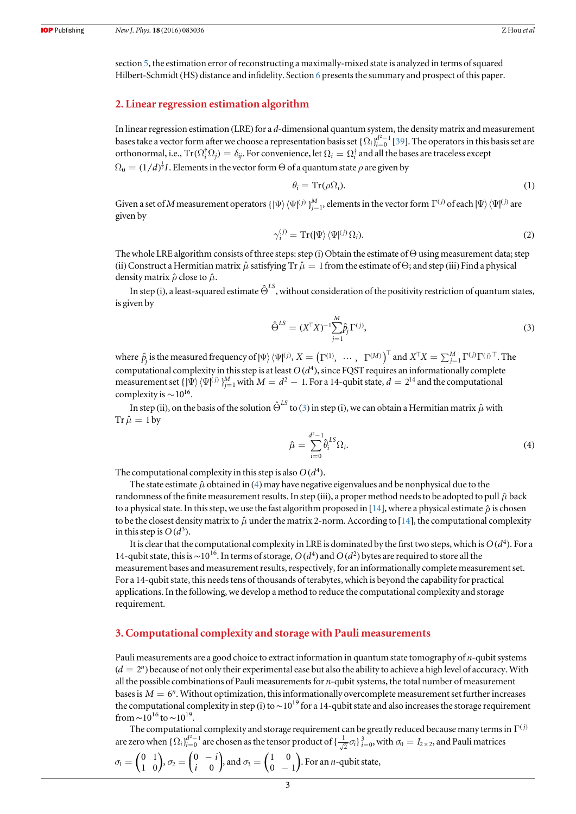section [5](#page-5-0), the estimation error of reconstructing a maximally-mixed state is analyzed in terms of squared Hilbert-Schmidt (HS) distance and infidelity. Section [6](#page-5-1) presents the summary and prospect of this paper.

#### <span id="page-2-0"></span>2. Linear regression estimation algorithm

In linear regression estimation (LRE) for a d-dimensional quantum system, the density matrix and measurement bases take a vector form after we choose a representation basis set  $\{\Omega_i\}_{i=0}^{d^2-1}$  [[39](#page-7-5)]. The operators in this basis set are orthonormal, i.e.,  $Tr(\Omega_i^{\dagger} \Omega_i) = \delta_{ij}$ . For convenience, let  $\Omega_i = \Omega_i^{\dagger}$  and all the bases are traceless except  $\Omega_0 = (1/d)^{\frac{1}{2}} I.$  Elements in the vector form  $\Theta$  of a quantum state  $\rho$  are given by

$$
\theta_i = \operatorname{Tr}(\rho \Omega_i). \tag{1}
$$

<span id="page-2-5"></span>Given a set of  $M$  measurement operators  $\{\ket{\Psi}\bra{\Psi^{(j)}}\}_{j=1}^M$ , elements in the vector form  $\Gamma^{(j)}$  of each  $\ket{\Psi}\bra{\Psi^{(j)}}$  are given by

$$
\gamma_i^{(j)} = \operatorname{Tr}(|\Psi\rangle \langle \Psi|^{(j)} \Omega_i). \tag{2}
$$

The whole LRE algorithm consists of three steps: step (i) Obtain the estimate of  $\Theta$  using measurement data; step (ii) Construct a Hermitian matrix  $\hat{\mu}$  satisfying Tr  $\hat{\mu} = 1$  from the estimate of  $\Theta$ ; and step (iii) Find a physical density matrix  $\hat{\rho}$  close to  $\hat{\mu}$ .

<span id="page-2-2"></span>In step (i), a least-squared estimate  $\hat{\Theta}^{LS}$ , without consideration of the positivity restriction of quantum states, is given by

$$
\hat{\Theta}^{LS} = (X^{\top} X)^{-1} \sum_{j=1}^{M} \hat{p}_j \Gamma^{(j)},
$$
\n(3)

where  $\hat{p}_j$  is the measured frequency of  $|\Psi\rangle\langle\Psi|^{(j)}, X = \left(\Gamma^{(1)},\ \cdots,\ \Gamma^{(M)}\right)^\top$  and  $X^\top X = \sum_{j=1}^M \Gamma^{(j)} \Gamma^{(j)\top}$ . The computational complexity in this step is at least  $O(d<sup>4</sup>)$ , since FQST requires an informationally complete measurement set  $\{|\Psi\rangle\langle\Psi|^{(j)}\}_{j=1}^M$  with  $M=d^2-1$ . For a 14-qubit state,  $d=2^{14}$  and the computational complexity is  $\sim$  10<sup>16</sup>.

<span id="page-2-3"></span>In step (ii), on the basis of the solution  $\hat{\Theta}^{LS}$  to ([3](#page-2-2)) in step (i), we can obtain a Hermitian matrix  $\hat{\mu}$  with  $\text{Tr}\,\hat{\mu}=1\,\text{by}$ 

$$
\hat{\mu} = \sum_{i=0}^{d^2-1} \hat{\theta}_i^{LS} \Omega_i.
$$
\n(4)

The computational complexity in this step is also  $O(d^4)$ .

The state estimate  $\hat{\mu}$  obtained in ([4](#page-2-3)) may have negative eigenvalues and be nonphysical due to the randomness of the finite measurement results. In step (iii), a proper method needs to be adopted to pull  $\hat{\mu}$  back to a physical state. In this step, we use the fast algorithm proposed in [[14](#page-6-24)], where a physical estimate  $\hat{\rho}$  is chosen to be the closest density matrix to  $\hat{\mu}$  under the matrix 2-norm. According to [[14](#page-6-24)], the computational complexity in this step is  $O(d^3)$ .

It is clear that the computational complexity in LRE is dominated by the first two steps, which is  $O(d<sup>4</sup>)$ . For a 14-qubit state, this is ∼10<sup>16</sup>. In terms of storage, *O* ( $d^4$ ) and *O* ( $d^2$ ) bytes are required to store all the measurement bases and measurement results, respectively, for an informationally complete measurement set. For a 14-qubit state, this needs tens of thousands of terabytes, which is beyond the capability for practical applications. In the following, we develop a method to reduce the computational complexity and storage requirement.

#### <span id="page-2-1"></span>3. Computational complexity and storage with Pauli measurements

Pauli measurements are a good choice to extract information in quantum state tomography of *n*-qubit systems  $(d = 2^n)$  because of not only their experimental ease but also the ability to achieve a high level of accuracy. With all the possible combinations of Pauli measurements for  $n$ -qubit systems, the total number of measurement bases is  $M = 6<sup>n</sup>$ . Without optimization, this informationally overcomplete measurement set further increases the computational complexity in step (i) to ~10<sup>19</sup> for a 14-qubit state and also increases the storage requirement from ~10<sup>16</sup> to ~10<sup>19</sup>.

The computational complexity and storage requirement can be greatly reduced because many terms in  $\Gamma^{(j)}$ are zero when  $\{\Omega_i\}_{i=0}^{d^2-1}$  are chosen as the tensor product of  $\{\frac{1}{\sqrt{2}}\sigma_i\}_{i=0}^3$ , with  $\sigma_0=I_{2\times 2}$ , and Pauli matrices

<span id="page-2-4"></span>
$$
\sigma_1 = \begin{pmatrix} 0 & 1 \\ 1 & 0 \end{pmatrix}, \sigma_2 = \begin{pmatrix} 0 & -i \\ i & 0 \end{pmatrix}, \text{and } \sigma_3 = \begin{pmatrix} 1 & 0 \\ 0 & -1 \end{pmatrix}.
$$
 For an *n*-qubit state,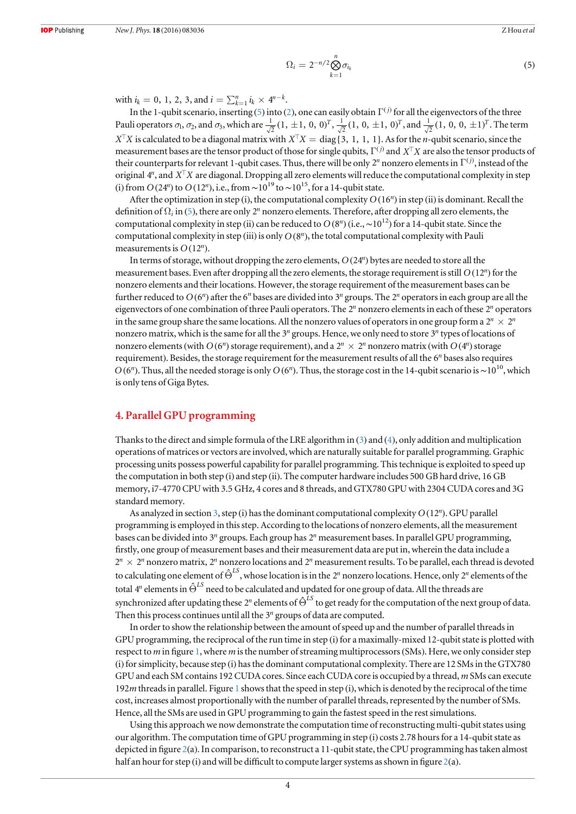$$
\Omega_i = 2^{-n/2} \bigotimes_{k=1}^n \sigma_{i_k} \tag{5}
$$

with  $i_k = 0, 1, 2, 3$ , and  $i = \sum_{k=1}^n i_k \times 4^{n-k}$ .

In the 1-qubit scenario, inserting ([5](#page-2-4)) into ([2](#page-2-5)), one can easily obtain  $\Gamma^{(j)}$  for all the eigenvectors of the three Pauli operators  $\sigma_1$ ,  $\sigma_2$ , and  $\sigma_3$ , which are  $\frac{1}{\sqrt{2}}(1, \pm 1, 0, 0)^T$ ,  $\frac{1}{\sqrt{2}}(1, 0, \pm 1, 0)^T$ , and  $\frac{1}{\sqrt{2}}(1, 0, 0, \pm 1)^T$ . The term  $X^{\top}X$  is calculated to be a diagonal matrix with  $X^{\top}X = \text{diag}\{3, 1, 1, 1\}$ . As for the *n*-qubit scenario, since the measurement bases are the tensor product of those for single qubits,  $\Gamma^{(j)}$  and  $X^{\top}X$  are also the tensor products of their counterparts for relevant 1-qubit cases. Thus, there will be only  $2^n$  nonzero elements in  $\Gamma^{(j)}$ , instead of the original  $4^n$ , and  $X^{\top}X$  are diagonal. Dropping all zero elements will reduce the computational complexity in step (i) from  $O(24^n)$  to  $O(12^n)$ , i.e., from  $\sim 10^{19}$  to  $\sim 10^{15}$ , for a 14-qubit state.

After the optimization in step (i), the computational complexity  $O(16^n)$  in step (ii) is dominant. Recall the definition of  $\Omega_i$  in ([5](#page-2-4)), there are only 2<sup>*n*</sup> nonzero elements. Therefore, after dropping all zero elements, the computational complexity in step (ii) can be reduced to  $O(8^n)$  (i.e., ~10<sup>12</sup>) for a 14-qubit state. Since the computational complexity in step (iii) is only  $O(8^n)$ , the total computational complexity with Pauli measurements is  $O(12^n)$ .

In terms of storage, without dropping the zero elements,  $O(24^n)$  bytes are needed to store all the measurement bases. Even after dropping all the zero elements, the storage requirement is still  $O(12^n)$  for the nonzero elements and their locations. However, the storage requirement of the measurement bases can be further reduced to  $O(6^n)$  after the 6<sup>*n*</sup> bases are divided into 3<sup>*n*</sup> groups. The 2<sup>*n*</sup> operators in each group are all the eigenvectors of one combination of three Pauli operators. The 2*<sup>n</sup>* nonzero elements in each of these 2*<sup>n</sup>* operators in the same group share the same locations. All the nonzero values of operators in one group form a  $2^n \times 2^n$ nonzero matrix, which is the same for all the 3*<sup>n</sup>* groups. Hence, we only need to store 3*<sup>n</sup>* types of locations of nonzero elements (with  $O(6^n)$  storage requirement), and a  $2^n \times 2^n$  nonzero matrix (with  $O(4^n)$  storage requirement). Besides, the storage requirement for the measurement results of all the 6*<sup>n</sup>* bases also requires *O* (6<sup>*n*</sup>). Thus, all the needed storage is only *O* (6<sup>*n*</sup>). Thus, the storage cost in the 14-qubit scenario is ~10<sup>10</sup>, which is only tens of Giga Bytes.

### <span id="page-3-0"></span>4. Parallel GPU programming

Thanks to the direct and simple formula of the LRE algorithm in ([3](#page-2-2)) and ([4](#page-2-3)), only addition and multiplication operations of matrices or vectors are involved, which are naturally suitable for parallel programming. Graphic processing units possess powerful capability for parallel programming. This technique is exploited to speed up the computation in both step (i) and step (ii). The computer hardware includes 500 GB hard drive, 16 GB memory, i7-4770 CPU with 3.5 GHz, 4 cores and 8 threads, and GTX780 GPU with 2304 CUDA cores and 3G standard memory.

As analyzed in section [3](#page-2-1), step (i) has the dominant computational complexity  $O(12^n)$ . GPU parallel programming is employed in this step. According to the locations of nonzero elements, all the measurement bases can be divided into 3*<sup>n</sup>* groups. Each group has 2*<sup>n</sup>* measurement bases. In parallel GPU programming, firstly, one group of measurement bases and their measurement data are put in, wherein the data include a  $2^n \times 2^n$  nonzero matrix,  $2^n$  nonzero locations and  $2^n$  measurement results. To be parallel, each thread is devoted to calculating one element of  $\hat{\Theta}^{LS}$ , whose location is in the 2<sup>n</sup> nonzero locations. Hence, only 2<sup>n</sup> elements of the total  $4^n$  elements in  $\hat{\Theta}^{LS}$  need to be calculated and updated for one group of data. All the threads are synchronized after updating these  $2^n$  elements of  $\hat{\Theta}^{LS}$  to get ready for the computation of the next group of data. Then this process continues until all the 3*<sup>n</sup>* groups of data are computed.

In order to show the relationship between the amount of speed up and the number of parallel threads in GPU programming, the reciprocal of the run time in step (i) for a maximally-mixed 12-qubit state is plotted with respect to m in figure [1](#page-1-0), where m is the number of streaming multiprocessors (SMs). Here, we only consider step (i) for simplicity, because step (i) has the dominant computational complexity. There are 12 SMs in the GTX780 GPU and each SM contains 192 CUDA cores. Since each CUDA core is occupied by a thread, m SMs can execute 192m threads in parallel. Figure [1](#page-1-0) shows that the speed in step (i), which is denoted by the reciprocal of the time cost, increases almost proportionally with the number of parallel threads, represented by the number of SMs. Hence, all the SMs are used in GPU programming to gain the fastest speed in the rest simulations.

Using this approach we now demonstrate the computation time of reconstructing multi-qubit states using our algorithm. The computation time of GPU programming in step (i) costs 2.78 hours for a 14-qubit state as depicted in figure [2](#page-4-0)(a). In comparison, to reconstruct a 11-qubit state, the CPU programming has taken almost half an hour for step (i) and will be difficult to compute larger systems as shown in figure  $2(a)$  $2(a)$ .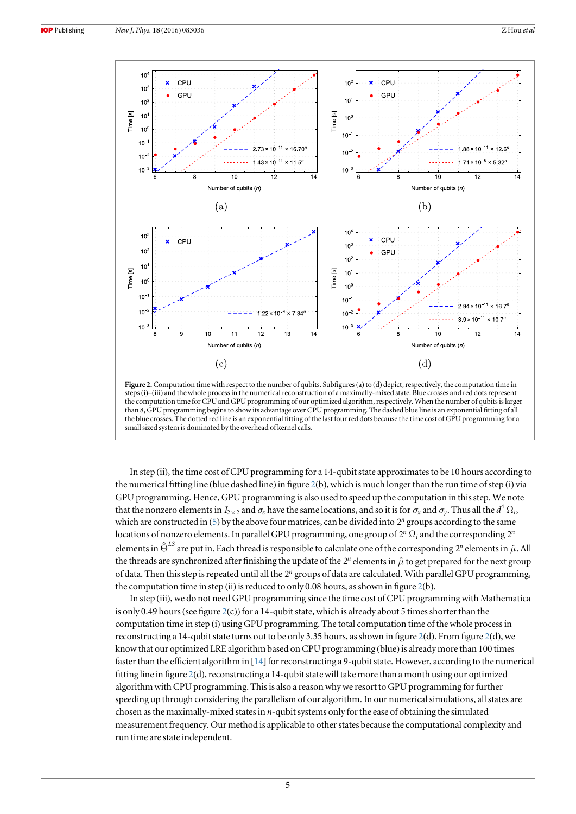<span id="page-4-0"></span>

Figure 2. Computation time with respect to the number of qubits. Subfigures (a) to (d) depict, respectively, the computation time in steps(i)–(iii) and the whole process in the numerical reconstruction of a maximally-mixed state. Blue crosses and red dots represent the computation time for CPU and GPU programming of our optimized algorithm, respectively. When the number of qubits is larger than 8, GPU programming begins to show its advantage over CPU programming. The dashed blue line is an exponential fitting of all the blue crosses. The dotted red line is an exponential fitting of the last four red dots because the time cost of GPU programming for a small sized system is dominated by the overhead of kernel calls.

In step (ii), the time cost of CPU programming for a 14-qubit state approximates to be 10 hours according to the numerical fitting line (blue dashed line) in figure  $2(b)$  $2(b)$ , which is much longer than the run time of step (i) via GPU programming. Hence, GPU programming is also used to speed up the computation in this step. We note that the nonzero elements in  $I_{2\times 2}$  and  $\sigma_z$  have the same locations, and so it is for  $\sigma_x$  and  $\sigma_y$ . Thus all the  $d^4\Omega_i$ , which are constructed in ([5](#page-2-4)) by the above four matrices, can be divided into 2<sup>n</sup> groups according to the same locations of nonzero elements. In parallel GPU programming, one group of  $2^n \Omega_i$  and the corresponding  $2^n$ elements in  $\hat{\Theta}^{LS}$  are put in. Each thread is responsible to calculate one of the corresponding  $2^n$  elements in  $\hat{\mu}$ . All the threads are synchronized after finishing the update of the  $2^n$  elements in  $\hat{\mu}$  to get prepared for the next group of data. Then this step is repeated until all the 2*<sup>n</sup>* groups of data are calculated. With parallel GPU programming, the computation time in step (ii) is reduced to only 0.08 hours, as shown in figure  $2(b)$  $2(b)$ .

In step (iii), we do not need GPU programming since the time cost of CPU programming with Mathematica is only 0.49 hours (see figure  $2(c)$  $2(c)$ ) for a 14-qubit state, which is already about 5 times shorter than the computation time in step (i) using GPU programming. The total computation time of the whole process in reconstructing a 14-qubit state turns out to be only 3.35 hours, as shown in figure [2](#page-4-0)(d). From figure 2(d), we know that our optimized LRE algorithm based on CPU programming (blue) is already more than 100 times faster than the efficient algorithm in [[14](#page-6-24)] for reconstructing a 9-qubit state. However, according to the numerical fitting line in figure [2](#page-4-0)(d), reconstructing a 14-qubit state will take more than a month using our optimized algorithm with CPU programming. This is also a reason why we resort to GPU programming for further speeding up through considering the parallelism of our algorithm. In our numerical simulations, all states are chosen as the maximally-mixed states in *n*-qubit systems only for the ease of obtaining the simulated measurement frequency. Our method is applicable to other states because the computational complexity and run time are state independent.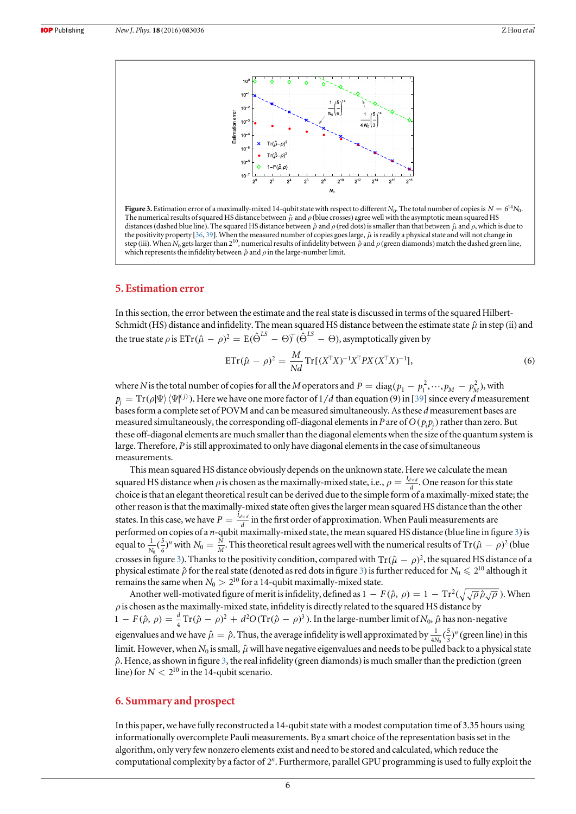<span id="page-5-2"></span>

**Figure 3.** Estimation error of a maximally-mixed 14-qubit state with respect to different N<sub>0</sub>. The total number of copies is  $N = 6^{14}N_0$ . The numerical results of squared HS distance between  $\hat{\mu}$  and  $\rho$  (blue crosses) agree well with the asymptotic mean squared HS distances (dashed blue line). The squared HS distance between  $ρ$  and  $ρ$  (red dots) is smaller than that between  $μ$  and  $ρ$ , which is due to the positivity property [[36,](#page-7-2) [39](#page-7-5)]. When the measured number of copies goes large,  $\hat{\mu}$  is readily a physical state and will not change in step (iii). When N<sub>0</sub> gets larger than  $2^{10}$ , numerical results of infidelity between  $\hat{\rho}$  and  $\rho$  (green diamonds) match the dashed green line, which represents the infidelity between  $\hat{\rho}$  and  $\rho$  in the large-number limit.

### <span id="page-5-0"></span>5. Estimation error

In this section, the error between the estimate and the real state is discussed in terms of the squared Hilbert-Schmidt (HS) distance and infidelity. The mean squared HS distance between the estimate state  $\hat{\mu}$  in step (ii) and the true state  $\rho$  is  $\text{ETr} (\hat{\mu} - \rho)^2 = \text{E} (\hat{\Theta}^{LS} - \Theta)^\mathsf{T} (\hat{\Theta}^{LS} - \Theta)$ , asymptotically given by

$$
ETr(\hat{\mu} - \rho)^2 = \frac{M}{Nd} Tr[(X^{\top}X)^{-1}X^{\top}PX(X^{\top}X)^{-1}],
$$
\n(6)

where N is the total number of copies for all the M operators and  $P = diag(p_1 - p_1^2, \dots, p_M - p_M^2)$ , with  $p_i = \text{Tr}(\rho|\Psi\rangle\langle\Psi|^{(j)})$ . Here we have one more factor of  $1/d$  than equation (9) in [[39](#page-7-5)] since every d measurement bases form a complete set of POVM and can be measured simultaneously. As these d measurement bases are measured simultaneously, the corresponding off-diagonal elements in P are of  $O(p, p)$  rather than zero. But these off-diagonal elements are much smaller than the diagonal elements when the size of the quantum system is large. Therefore, P is still approximated to only have diagonal elements in the case of simultaneous measurements.

This mean squared HS distance obviously depends on the unknown state. Here we calculate the mean squared HS distance when  $\rho$  is chosen as the maximally-mixed state, i.e.,  $\rho = \frac{I_{d \times d}}{d}$ . One reason for this state choice is that an elegant theoretical result can be derived due to the simple form of a maximally-mixed state; the other reason is that the maximally-mixed state often gives the larger mean squared HS distance than the other states. In this case, we have  $P = \frac{I_{d \times d}}{d}$  in the first order of approximation. When Pauli measurements are performed on copies of a *n*-qubit maximally-mixed state, the mean squared HS distance (blue line in figure [3](#page-5-2)) is equal to  $\frac{1}{N_0}(\frac{5}{6})^n$  $\frac{1}{6}(\frac{5}{6})^n$  with  $N_0=\frac{N}{M}$ . This theoretical result agrees well with the numerical results of Tr( $\hat\mu-\rho$ )<sup>2</sup> (blue crosses in figure [3](#page-5-2)). Thanks to the positivity condition, compared with  $Tr(\hat{\mu} - \rho)^2$ , the squared HS distance of a physical estimate  $\hat{\rho}$  for the real state (denoted as red dots in figure [3](#page-5-2)) is further reduced for  $N_0 \leq 2^{10}$  although it remains the same when  $N_0 > 2^{10}$  for a 14-qubit maximally-mixed state.

Another well-motivated figure of merit is infidelity, defined as  $1-F(\hat{\rho}, \rho) = 1 - \text{Tr}^2(\sqrt{\sqrt{\rho}\hat{\rho}\sqrt{\rho}})$ . When  $\rho$  is chosen as the maximally-mixed state, infidelity is directly related to the squared HS distance by  $1 - F(\hat{\rho}, \rho) = \frac{d}{4} \text{Tr}(\hat{\rho} - \rho)^2 + d^2 O(\text{Tr}(\hat{\rho} - \rho)^3)$ . In the large-number limit of  $N_0$ ,  $\hat{\mu}$  has non-negative eigenvalues and we have  $\hat{\mu} = \hat{\rho}$ . Thus, the average infidelity is well approximated by  $\frac{1}{4N_0}(\frac{5}{3})^n$ 4  $\frac{1}{\sqrt{5}}$  $(\frac{5}{3})^n$  (green line) in this limit. However, when  $N_0$  is small,  $\hat{\mu}$  will have negative eigenvalues and needs to be pulled back to a physical state  $\hat{\rho}$ . Hence, as shown in figure [3,](#page-5-2) the real infidelity (green diamonds) is much smaller than the prediction (green line) for  $N < 2^{10}$  in the 14-qubit scenario.

### <span id="page-5-1"></span>6. Summary and prospect

In this paper, we have fully reconstructed a 14-qubit state with a modest computation time of 3.35 hours using informationally overcomplete Pauli measurements. By a smart choice of the representation basis set in the algorithm, only very few nonzero elements exist and need to be stored and calculated, which reduce the computational complexity by a factor of 2*<sup>n</sup>*. Furthermore, parallel GPU programming is used to fully exploit the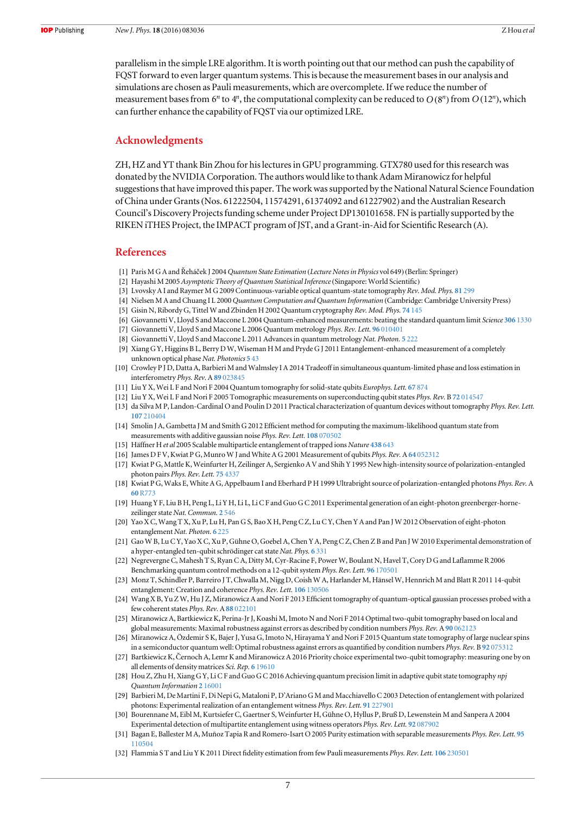parallelism in the simple LRE algorithm. It is worth pointing out that our method can push the capability of FQST forward to even larger quantum systems. This is because the measurement bases in our analysis and simulations are chosen as Pauli measurements, which are overcomplete. If we reduce the number of measurement bases from 6<sup>*n*</sup> to 4<sup>*n*</sup>, the computational complexity can be reduced to  $O(8^n)$  from  $O(12^n)$ , which can further enhance the capability of FQST via our optimized LRE.

### Acknowledgments

ZH, HZ and YT thank Bin Zhou for his lectures in GPU programming. GTX780 used for this research was donated by the NVIDIA Corporation. The authors would like to thank Adam Miranowicz for helpful suggestions that have improved this paper. The work was supported by the National Natural Science Foundation of China under Grants(Nos. 61222504, 11574291, 61374092 and 61227902) and the Australian Research Council's Discovery Projects funding scheme under Project DP130101658. FN is partially supported by the RIKEN iTHES Project, the IMPACT program of JST, and a Grant-in-Aid for Scientific Research (A).

#### References

- <span id="page-6-0"></span>[1] Paris M G A and Řeháček J 2004 Quantum State Estimation (Lecture Notes in Physics vol 649) (Berlin: Springer)
- [2] Hayashi M 2005 Asymptotic Theory of Quantum Statistical Inference(Singapore: World Scientific)
- <span id="page-6-1"></span>[3] Lvovsky A I and Raymer M G 2009 Continuous-variable optical quantum-state tomography Rev. Mod. Phys. 81 [299](http://dx.doi.org/10.1103/RevModPhys.81.299)
- <span id="page-6-2"></span>[4] Nielsen M A and Chuang I L 2000 Quantum Computation and Quantum Information (Cambridge: Cambridge University Press)
- <span id="page-6-3"></span>[5] Gisin N, Ribordy G, Tittel W and Zbinden H 2002 Quantum cryptography Rev. Mod. Phys. 74 [145](http://dx.doi.org/10.1103/RevModPhys.74.145)
- <span id="page-6-4"></span>[6] Giovannetti V, Lloyd S and Maccone L 2004 Quantum-enhanced measurements: beating the standard quantum limit Science 306 [1330](http://dx.doi.org/10.1126/science.1104149)
- [7] Giovannetti V, Lloyd S and Maccone L 2006 Quantum metrology Phys. Rev. Lett. 96 [010401](http://dx.doi.org/10.1103/PhysRevLett.96.010401)
- [8] Giovannetti V, Lloyd S and Maccone L 2011 Advances in quantum metrology Nat. Photon. 5 [222](http://dx.doi.org/10.1038/nphoton.2011.35)
- [9] Xiang G Y, Higgins B L, Berry D W, Wiseman H M and Pryde G J 2011 Entanglement-enhanced measurement of a completely unknown optical phase Nat. Photonics 5 [43](http://dx.doi.org/10.1038/nphoton.2010.268)
- <span id="page-6-5"></span>[10] Crowley P J D, Datta A, Barbieri M and Walmsley I A 2014 Tradeoff in simultaneous quantum-limited phase and loss estimation in interferometry Phys. Rev. A 89 [023845](http://dx.doi.org/10.1103/PhysRevA.89.023845)
- <span id="page-6-6"></span>[11] Liu Y X, Wei L F and Nori F 2004 Quantum tomography for solid-state qubits Europhys. Lett. 67 [874](http://dx.doi.org/10.1209/epl/i2004-10154-1)
- <span id="page-6-7"></span>[12] Liu Y X, Wei L F and Nori F 2005 Tomographic measurements on superconducting qubit states Phys. Rev. B 72 [014547](http://dx.doi.org/10.1103/PhysRevB.72.014547)
- <span id="page-6-8"></span>[13] da Silva M P, Landon-Cardinal O and Poulin D 2011 Practical characterization of quantum devices without tomography Phys. Rev. Lett. 107 [210404](http://dx.doi.org/10.1103/PhysRevLett.107.210404)
- <span id="page-6-24"></span>[14] Smolin J A, Gambetta J M and Smith G 2012 Efficient method for computing the maximum-likelihood quantum state from measurements with additive gaussian noise Phys. Rev. Lett. 108 [070502](http://dx.doi.org/10.1103/PhysRevLett.108.070502)
- <span id="page-6-9"></span>[15] Häffner H et al 2005 Scalable multiparticle entanglement of trapped ions Nature [438](http://dx.doi.org/10.1038/nature04279) 643
- <span id="page-6-10"></span>[16] James D F V, Kwiat P G, Munro W J and White A G 2001 Measurement of qubits Phys. Rev. A 64 [052312](http://dx.doi.org/10.1103/PhysRevA.64.052312)
- <span id="page-6-11"></span>[17] Kwiat P G, Mattle K, Weinfurter H, Zeilinger A, Sergienko A V and Shih Y 1995 New high-intensity source of polarization-entangled photon pairs Phys. Rev. Lett. 75 [4337](http://dx.doi.org/10.1103/PhysRevLett.75.4337)
- <span id="page-6-12"></span>[18] Kwiat P G, Waks E, White A G, Appelbaum I and Eberhard P H 1999 Ultrabright source of polarization-entangled photons Phys. Rev. A 60 [R773](http://dx.doi.org/10.1103/PhysRevA.60.R773)
- <span id="page-6-13"></span>[19] Huang Y F, Liu B H, Peng L, Li Y H, Li L, Li C F and Guo G C 2011 Experimental generation of an eight-photon greenberger-hornezeilinger state Nat. Commun. 2 [546](http://dx.doi.org/10.1038/ncomms1556)
- <span id="page-6-14"></span>[20] Yao X C, Wang T X, Xu P, Lu H, Pan G S, Bao X H, Peng C Z, Lu C Y, Chen Y A and Pan J W 2012 Observation of eight-photon entanglement Nat. Photon. 6 [225](http://dx.doi.org/10.1038/nphoton.2011.354)
- <span id="page-6-15"></span>[21] Gao W B, Lu C Y, Yao X C, Xu P, Gühne O, Goebel A, Chen Y A, Peng C Z, Chen Z B and Pan J W 2010 Experimental demonstration of a hyper-entangled ten-qubit schrödinger cat state Nat. Phys. 6 [331](http://dx.doi.org/10.1038/nphys1603)
- <span id="page-6-16"></span>[22] Negrevergne C, Mahesh T S, Ryan C A, Ditty M, Cyr-Racine F, Power W, Boulant N, Havel T, Cory D G and Laflamme R 2006 Benchmarking quantum control methods on a 12-qubit system Phys. Rev. Lett. 96 [170501](http://dx.doi.org/10.1103/PhysRevLett.96.170501)
- <span id="page-6-17"></span>[23] Monz T, Schindler P, Barreiro J T, Chwalla M, Nigg D, Coish W A, Harlander M, Hänsel W, Hennrich M and Blatt R 2011 14-qubit entanglement: Creation and coherence Phys. Rev. Lett. 106 [130506](http://dx.doi.org/10.1103/PhysRevLett.106.130506)
- <span id="page-6-18"></span>[24] Wang X B, Yu Z W, Hu J Z, Miranowicz A and Nori F 2013 Efficient tomography of quantum-optical gaussian processes probed with a few coherent states Phys. Rev. A 88 [022101](http://dx.doi.org/10.1103/PhysRevA.88.022101)
- [25] Miranowicz A, Bartkiewicz K, Perina-Jr J, Koashi M, Imoto N and Nori F 2014 Optimal two-qubit tomography based on local and global measurements: Maximal robustness against errors as described by condition numbers Phys. Rev. A 90 [062123](http://dx.doi.org/10.1103/PhysRevA.90.062123)
- [26] Miranowicz A, Özdemir S K, Bajer J, Yusa G, Imoto N, Hirayama Y and Nori F 2015 Quantum state tomography of large nuclear spins in a semiconductor quantum well: Optimal robustness against errors as quantified by condition numbers Phys. Rev. B 92 [075312](http://dx.doi.org/10.1103/PhysRevB.92.075312)
- [27] Bartkiewicz K, C̆ ernoch A, Lemr K and Miranowicz A 2016 Priority choice experimental two-qubit tomography: measuring one by on all elements of density matrices Sci. Rep. 6 [19610](http://dx.doi.org/10.1038/srep19610)
- <span id="page-6-19"></span>[28] Hou Z, Zhu H, Xiang GY, Li CF and Guo GC 2016 Achieving quantum precision limit in adaptive qubit state tomography npj Quantum Information 2 [16001](http://dx.doi.org/10.1038/npjqi.2016.1)
- <span id="page-6-20"></span>[29] Barbieri M, De Martini F, Di Nepi G, Mataloni P, D'Ariano G M and Macchiavello C 2003 Detection of entanglement with polarized photons: Experimental realization of an entanglement witness Phys. Rev. Lett. 91 [227901](http://dx.doi.org/10.1103/PhysRevLett.91.227901)
- <span id="page-6-21"></span>[30] Bourennane M, Eibl M, Kurtsiefer C, Gaertner S, Weinfurter H, Gühne O, Hyllus P, Bruß D, Lewenstein M and Sanpera A 2004 Experimental detection of multipartite entanglement using witness operators Phys. Rev. Lett. 92 [087902](http://dx.doi.org/10.1103/PhysRevLett.92.087902)
- <span id="page-6-22"></span>[31] Bagan E, Ballester M A, Muñoz Tapia R and Romero-Isart O 2005 Purity estimation with separable measurements Phys. Rev. Lett. [95](http://dx.doi.org/10.1103/PhysRevLett.95.110504) [110504](http://dx.doi.org/10.1103/PhysRevLett.95.110504)
- <span id="page-6-23"></span>[32] Flammia ST and Liu Y K 2011 Direct fidelity estimation from few Pauli measurements Phys. Rev. Lett. 106 [230501](http://dx.doi.org/10.1103/PhysRevLett.106.230501)